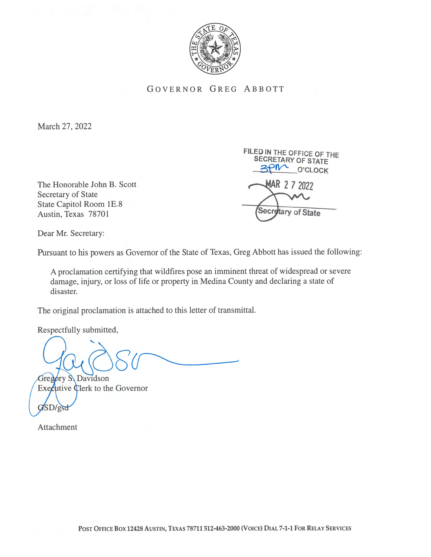

## GOVERNOR GREG ABBOTT

March 27, 2022

The Honorable John B. Scott **AR 27 2022** Secretary of State State Capitol Room 1E.8 Austin, Texas 78701

FILED IN THE OFFICE OF THE<br>SECRETARY OF STATE<br>3010 001 O'CLOCK Secretary of State

Dear Mr. Secretary:

Pursuant to his powers as Governor of the State of Texas, Greg Abbott has issued the following:

A proclamation certifying that wildfires pose an imminent threat of widespread or severe damage, injury, or loss of life or property in Medina County and declaring a state of disaster.

The original proclamation is attached to this letter of transmittal.

Respectfully submitted,

Gregory S. Davidson

 $\text{Exe}$ cutive Clerk to the Governor SD/gsd

Attachment